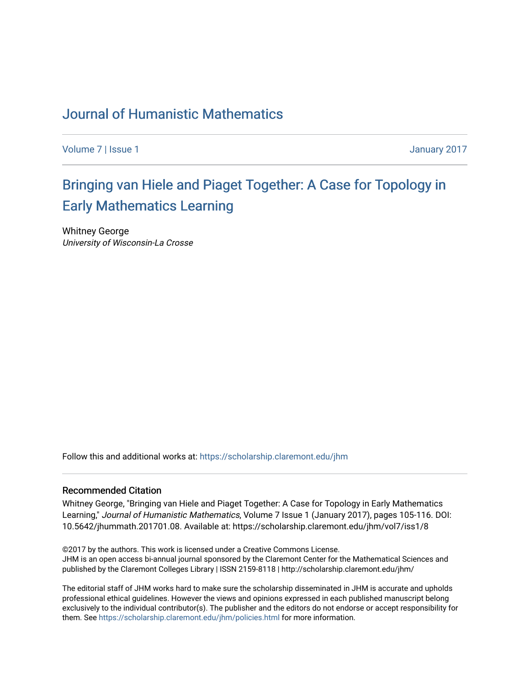### [Journal of Humanistic Mathematics](https://scholarship.claremont.edu/jhm)

[Volume 7](https://scholarship.claremont.edu/jhm/vol7) | [Issue 1](https://scholarship.claremont.edu/jhm/vol7/iss1) January 2017

# [Bringing van Hiele and Piaget Together: A Case for Topology in](https://scholarship.claremont.edu/jhm/vol7/iss1/8) [Early Mathematics Learning](https://scholarship.claremont.edu/jhm/vol7/iss1/8)

Whitney George University of Wisconsin-La Crosse

Follow this and additional works at: [https://scholarship.claremont.edu/jhm](https://scholarship.claremont.edu/jhm?utm_source=scholarship.claremont.edu%2Fjhm%2Fvol7%2Fiss1%2F8&utm_medium=PDF&utm_campaign=PDFCoverPages)

#### Recommended Citation

Whitney George, "Bringing van Hiele and Piaget Together: A Case for Topology in Early Mathematics Learning," Journal of Humanistic Mathematics, Volume 7 Issue 1 (January 2017), pages 105-116. DOI: 10.5642/jhummath.201701.08. Available at: https://scholarship.claremont.edu/jhm/vol7/iss1/8

©2017 by the authors. This work is licensed under a Creative Commons License. JHM is an open access bi-annual journal sponsored by the Claremont Center for the Mathematical Sciences and published by the Claremont Colleges Library | ISSN 2159-8118 | http://scholarship.claremont.edu/jhm/

The editorial staff of JHM works hard to make sure the scholarship disseminated in JHM is accurate and upholds professional ethical guidelines. However the views and opinions expressed in each published manuscript belong exclusively to the individual contributor(s). The publisher and the editors do not endorse or accept responsibility for them. See<https://scholarship.claremont.edu/jhm/policies.html> for more information.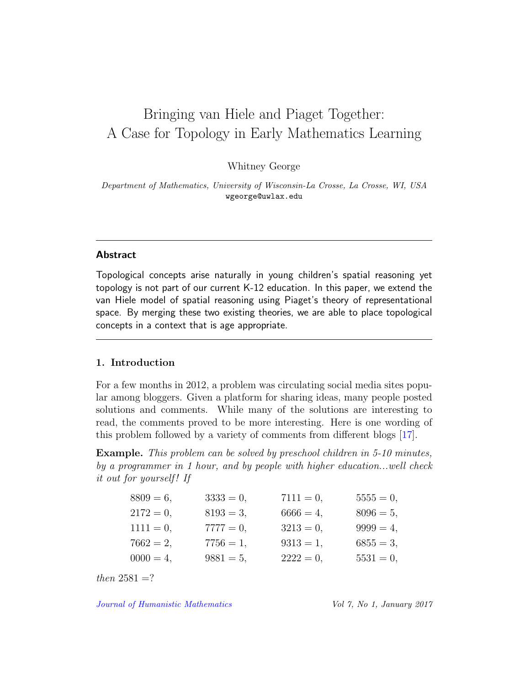## Bringing van Hiele and Piaget Together: A Case for Topology in Early Mathematics Learning

Whitney George

Department of Mathematics, University of Wisconsin-La Crosse, La Crosse, WI, USA wgeorge@uwlax.edu

#### Abstract

Topological concepts arise naturally in young children's spatial reasoning yet topology is not part of our current K-12 education. In this paper, we extend the van Hiele model of spatial reasoning using Piaget's theory of representational space. By merging these two existing theories, we are able to place topological concepts in a context that is age appropriate.

#### 1. Introduction

For a few months in 2012, a problem was circulating social media sites popular among bloggers. Given a platform for sharing ideas, many people posted solutions and comments. While many of the solutions are interesting to read, the comments proved to be more interesting. Here is one wording of this problem followed by a variety of comments from different blogs [\[17\]](#page-12-0).

Example. This problem can be solved by preschool children in 5-10 minutes, by a programmer in 1 hour, and by people with higher education...well check it out for yourself! If

| $8809 = 6$ , | $3333 = 0,$  | $7111 = 0,$  | $5555 = 0,$  |
|--------------|--------------|--------------|--------------|
| $2172 = 0$ , | $8193 = 3$ , | $6666 = 4$ , | $8096 = 5$ , |
| $1111 = 0$ , | $7777 = 0,$  | $3213 = 0,$  | $9999 = 4$ , |
| $7662 = 2,$  | $7756 = 1,$  | $9313 = 1,$  | $6855 = 3$ , |
| $0000 = 4$ , | $9881 = 5,$  | $2222 = 0$ , | $5531 = 0$ , |
|              |              |              |              |

then  $2581 = ?$ 

[Journal of Humanistic Mathematics](http://scholarship.claremont.edu/jhm/) Vol 7, No 1, January 2017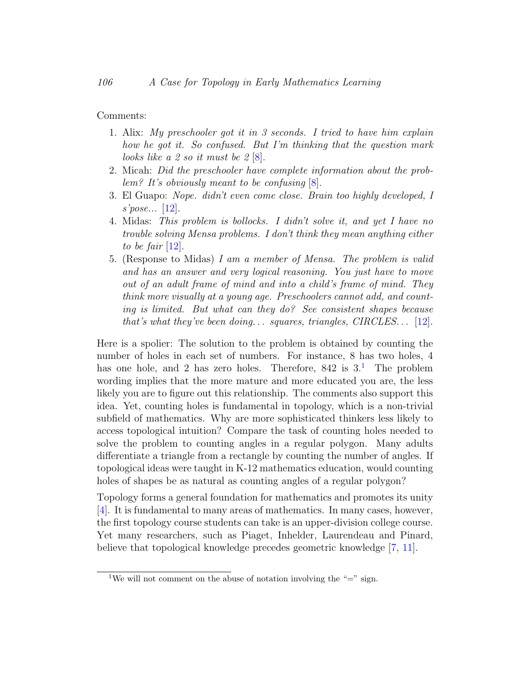Comments:

- 1. Alix: My preschooler got it in 3 seconds. I tried to have him explain how he got it. So confused. But I'm thinking that the question mark looks like a 2 so it must be  $2 \, 8$ .
- 2. Micah: Did the preschooler have complete information about the problem? It's obviously meant to be confusing  $[8]$ .
- 3. El Guapo: Nope. didn't even come close. Brain too highly developed, I s'pose... [\[12\]](#page-12-1).
- 4. Midas: This problem is bollocks. I didn't solve it, and yet I have no trouble solving Mensa problems. I don't think they mean anything either to be fair  $[12]$ .
- 5. (Response to Midas) I am a member of Mensa. The problem is valid and has an answer and very logical reasoning. You just have to move out of an adult frame of mind and into a child's frame of mind. They think more visually at a young age. Preschoolers cannot add, and counting is limited. But what can they do? See consistent shapes because that's what they've been doing... squares, triangles,  $CIRCLES...$  [\[12\]](#page-12-1).

Here is a spolier: The solution to the problem is obtained by counting the number of holes in each set of numbers. For instance, 8 has two holes, 4 has one hole, and 2 has zero holes. Therefore,  $842$  is  $3<sup>1</sup>$  $3<sup>1</sup>$  $3<sup>1</sup>$ . The problem wording implies that the more mature and more educated you are, the less likely you are to figure out this relationship. The comments also support this idea. Yet, counting holes is fundamental in topology, which is a non-trivial subfield of mathematics. Why are more sophisticated thinkers less likely to access topological intuition? Compare the task of counting holes needed to solve the problem to counting angles in a regular polygon. Many adults differentiate a triangle from a rectangle by counting the number of angles. If topological ideas were taught in K-12 mathematics education, would counting holes of shapes be as natural as counting angles of a regular polygon?

Topology forms a general foundation for mathematics and promotes its unity [\[4\]](#page-11-1). It is fundamental to many areas of mathematics. In many cases, however, the first topology course students can take is an upper-division college course. Yet many researchers, such as Piaget, Inhelder, Laurendeau and Pinard, believe that topological knowledge precedes geometric knowledge [\[7,](#page-11-2) [11\]](#page-11-3).

<span id="page-2-0"></span><sup>&</sup>lt;sup>1</sup>We will not comment on the abuse of notation involving the "=" sign.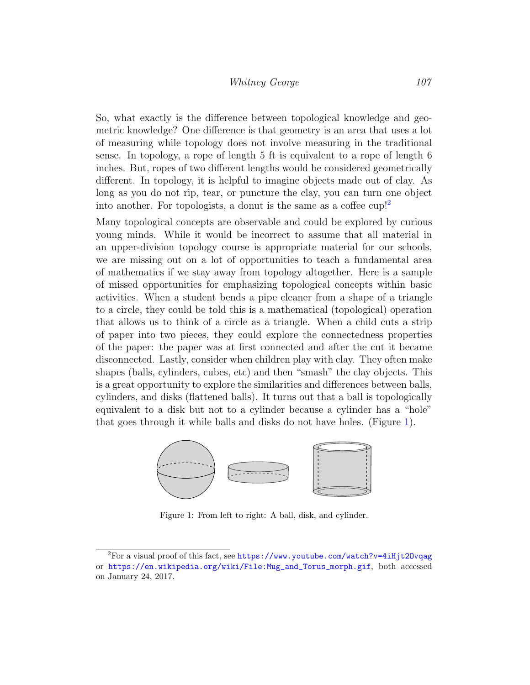#### Whitney George 107

So, what exactly is the difference between topological knowledge and geometric knowledge? One difference is that geometry is an area that uses a lot of measuring while topology does not involve measuring in the traditional sense. In topology, a rope of length 5 ft is equivalent to a rope of length 6 inches. But, ropes of two different lengths would be considered geometrically different. In topology, it is helpful to imagine objects made out of clay. As long as you do not rip, tear, or puncture the clay, you can turn one object into another. For topologists, a donut is the same as a coffee cup!<sup>[2](#page-3-0)</sup>

Many topological concepts are observable and could be explored by curious young minds. While it would be incorrect to assume that all material in an upper-division topology course is appropriate material for our schools, we are missing out on a lot of opportunities to teach a fundamental area of mathematics if we stay away from topology altogether. Here is a sample of missed opportunities for emphasizing topological concepts within basic activities. When a student bends a pipe cleaner from a shape of a triangle to a circle, they could be told this is a mathematical (topological) operation that allows us to think of a circle as a triangle. When a child cuts a strip of paper into two pieces, they could explore the connectedness properties of the paper: the paper was at first connected and after the cut it became disconnected. Lastly, consider when children play with clay. They often make shapes (balls, cylinders, cubes, etc) and then "smash" the clay objects. This is a great opportunity to explore the similarities and differences between balls, cylinders, and disks (flattened balls). It turns out that a ball is topologically equivalent to a disk but not to a cylinder because a cylinder has a "hole" that goes through it while balls and disks do not have holes. (Figure [1\)](#page-3-1).



<span id="page-3-1"></span>Figure 1: From left to right: A ball, disk, and cylinder.

<span id="page-3-0"></span><sup>&</sup>lt;sup>2</sup>For a visual proof of this fact, see https://www.youtube.com/watch?v=4iHjt20vqag or [https://en.wikipedia.org/wiki/File:Mug\\_and\\_Torus\\_morph.gif](https://en.wikipedia.org/wiki/File:Mug_and_Torus_morph.gif), both accessed on January 24, 2017.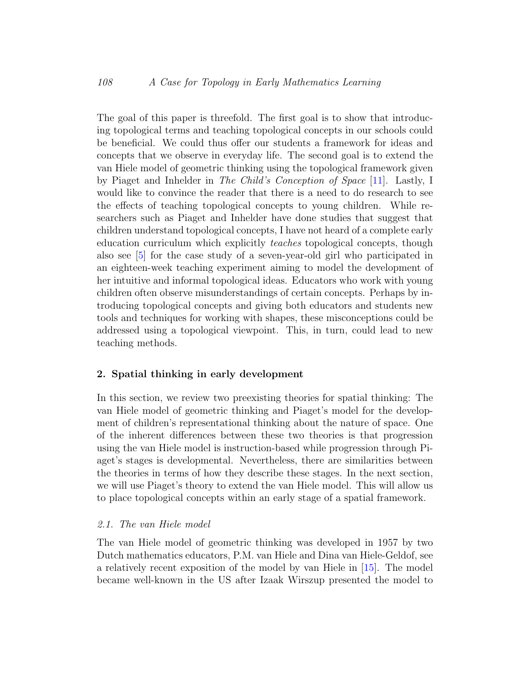The goal of this paper is threefold. The first goal is to show that introducing topological terms and teaching topological concepts in our schools could be beneficial. We could thus offer our students a framework for ideas and concepts that we observe in everyday life. The second goal is to extend the van Hiele model of geometric thinking using the topological framework given by Piaget and Inhelder in The Child's Conception of Space [\[11\]](#page-11-3). Lastly, I would like to convince the reader that there is a need to do research to see the effects of teaching topological concepts to young children. While researchers such as Piaget and Inhelder have done studies that suggest that children understand topological concepts, I have not heard of a complete early education curriculum which explicitly teaches topological concepts, though also see [\[5\]](#page-11-4) for the case study of a seven-year-old girl who participated in an eighteen-week teaching experiment aiming to model the development of her intuitive and informal topological ideas. Educators who work with young children often observe misunderstandings of certain concepts. Perhaps by introducing topological concepts and giving both educators and students new tools and techniques for working with shapes, these misconceptions could be addressed using a topological viewpoint. This, in turn, could lead to new teaching methods.

#### 2. Spatial thinking in early development

In this section, we review two preexisting theories for spatial thinking: The van Hiele model of geometric thinking and Piaget's model for the development of children's representational thinking about the nature of space. One of the inherent differences between these two theories is that progression using the van Hiele model is instruction-based while progression through Piaget's stages is developmental. Nevertheless, there are similarities between the theories in terms of how they describe these stages. In the next section, we will use Piaget's theory to extend the van Hiele model. This will allow us to place topological concepts within an early stage of a spatial framework.

#### 2.1. The van Hiele model

The van Hiele model of geometric thinking was developed in 1957 by two Dutch mathematics educators, P.M. van Hiele and Dina van Hiele-Geldof, see a relatively recent exposition of the model by van Hiele in [\[15\]](#page-12-2). The model became well-known in the US after Izaak Wirszup presented the model to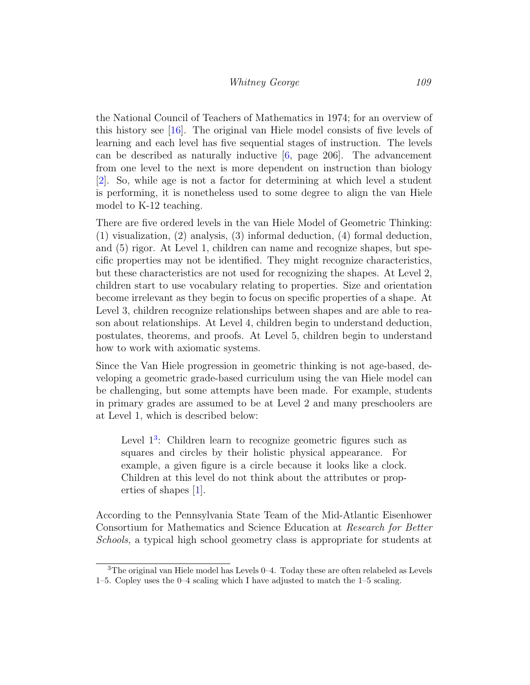the National Council of Teachers of Mathematics in 1974; for an overview of this history see [\[16\]](#page-12-3). The original van Hiele model consists of five levels of learning and each level has five sequential stages of instruction. The levels can be described as naturally inductive [\[6,](#page-11-5) page 206]. The advancement from one level to the next is more dependent on instruction than biology [\[2\]](#page-10-0). So, while age is not a factor for determining at which level a student is performing, it is nonetheless used to some degree to align the van Hiele model to K-12 teaching.

There are five ordered levels in the van Hiele Model of Geometric Thinking: (1) visualization, (2) analysis, (3) informal deduction, (4) formal deduction, and (5) rigor. At Level 1, children can name and recognize shapes, but specific properties may not be identified. They might recognize characteristics, but these characteristics are not used for recognizing the shapes. At Level 2, children start to use vocabulary relating to properties. Size and orientation become irrelevant as they begin to focus on specific properties of a shape. At Level 3, children recognize relationships between shapes and are able to reason about relationships. At Level 4, children begin to understand deduction, postulates, theorems, and proofs. At Level 5, children begin to understand how to work with axiomatic systems.

Since the Van Hiele progression in geometric thinking is not age-based, developing a geometric grade-based curriculum using the van Hiele model can be challenging, but some attempts have been made. For example, students in primary grades are assumed to be at Level 2 and many preschoolers are at Level 1, which is described below:

Level  $1<sup>3</sup>$  $1<sup>3</sup>$  $1<sup>3</sup>$ : Children learn to recognize geometric figures such as squares and circles by their holistic physical appearance. For example, a given figure is a circle because it looks like a clock. Children at this level do not think about the attributes or properties of shapes [\[1\]](#page-10-1).

According to the Pennsylvania State Team of the Mid-Atlantic Eisenhower Consortium for Mathematics and Science Education at Research for Better Schools, a typical high school geometry class is appropriate for students at

<span id="page-5-0"></span><sup>3</sup>The original van Hiele model has Levels 0–4. Today these are often relabeled as Levels 1–5. Copley uses the 0–4 scaling which I have adjusted to match the 1–5 scaling.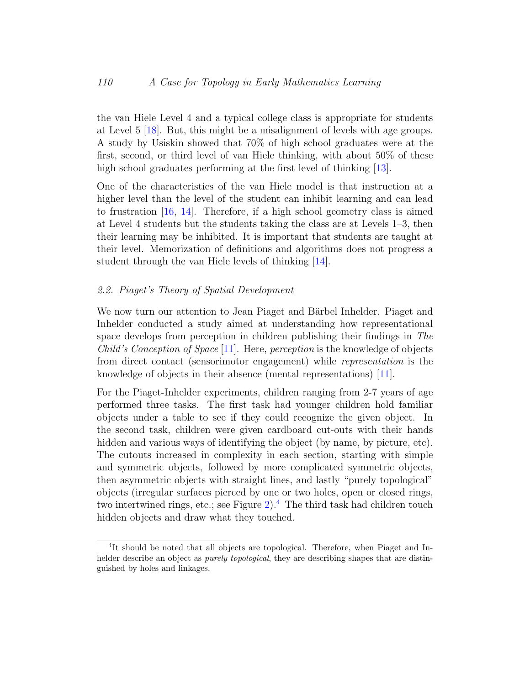the van Hiele Level 4 and a typical college class is appropriate for students at Level 5 [\[18\]](#page-12-4). But, this might be a misalignment of levels with age groups. A study by Usiskin showed that 70% of high school graduates were at the first, second, or third level of van Hiele thinking, with about 50% of these high school graduates performing at the first level of thinking [\[13\]](#page-12-5).

One of the characteristics of the van Hiele model is that instruction at a higher level than the level of the student can inhibit learning and can lead to frustration [\[16,](#page-12-3) [14\]](#page-12-6). Therefore, if a high school geometry class is aimed at Level 4 students but the students taking the class are at Levels 1–3, then their learning may be inhibited. It is important that students are taught at their level. Memorization of definitions and algorithms does not progress a student through the van Hiele levels of thinking [\[14\]](#page-12-6).

#### 2.2. Piaget's Theory of Spatial Development

We now turn our attention to Jean Piaget and Bärbel Inhelder. Piaget and Inhelder conducted a study aimed at understanding how representational space develops from perception in children publishing their findings in The Child's Conception of Space [\[11\]](#page-11-3). Here, perception is the knowledge of objects from direct contact (sensorimotor engagement) while representation is the knowledge of objects in their absence (mental representations) [\[11\]](#page-11-3).

For the Piaget-Inhelder experiments, children ranging from 2-7 years of age performed three tasks. The first task had younger children hold familiar objects under a table to see if they could recognize the given object. In the second task, children were given cardboard cut-outs with their hands hidden and various ways of identifying the object (by name, by picture, etc). The cutouts increased in complexity in each section, starting with simple and symmetric objects, followed by more complicated symmetric objects, then asymmetric objects with straight lines, and lastly "purely topological" objects (irregular surfaces pierced by one or two holes, open or closed rings, two intertwined rings, etc.; see Figure [2\)](#page-7-0).<sup>[4](#page-6-0)</sup> The third task had children touch hidden objects and draw what they touched.

<span id="page-6-0"></span><sup>&</sup>lt;sup>4</sup>It should be noted that all objects are topological. Therefore, when Piaget and Inhelder describe an object as *purely topological*, they are describing shapes that are distinguished by holes and linkages.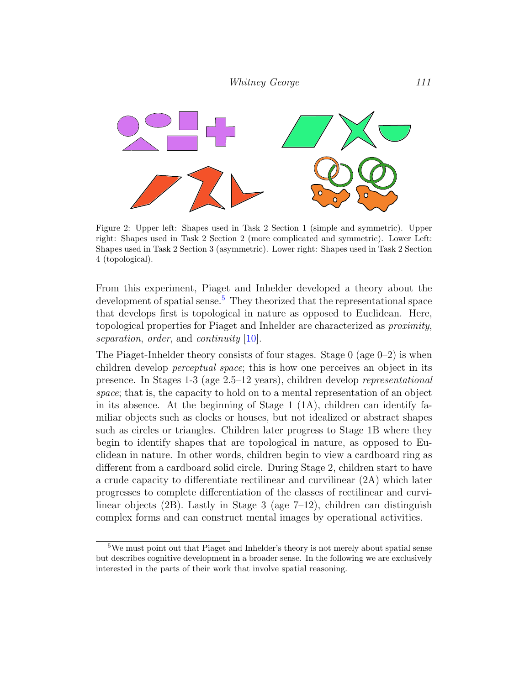

<span id="page-7-0"></span>Figure 2: Upper left: Shapes used in Task 2 Section 1 (simple and symmetric). Upper right: Shapes used in Task 2 Section 2 (more complicated and symmetric). Lower Left: Shapes used in Task 2 Section 3 (asymmetric). Lower right: Shapes used in Task 2 Section 4 (topological).

From this experiment, Piaget and Inhelder developed a theory about the development of spatial sense.<sup>[5](#page-7-1)</sup> They theorized that the representational space that develops first is topological in nature as opposed to Euclidean. Here, topological properties for Piaget and Inhelder are characterized as proximity, separation, order, and continuity [\[10\]](#page-11-6).

The Piaget-Inhelder theory consists of four stages. Stage  $0$  (age  $0-2$ ) is when children develop perceptual space; this is how one perceives an object in its presence. In Stages 1-3 (age 2.5–12 years), children develop representational space; that is, the capacity to hold on to a mental representation of an object in its absence. At the beginning of Stage  $1$  (1A), children can identify familiar objects such as clocks or houses, but not idealized or abstract shapes such as circles or triangles. Children later progress to Stage 1B where they begin to identify shapes that are topological in nature, as opposed to Euclidean in nature. In other words, children begin to view a cardboard ring as different from a cardboard solid circle. During Stage 2, children start to have a crude capacity to differentiate rectilinear and curvilinear (2A) which later progresses to complete differentiation of the classes of rectilinear and curvilinear objects (2B). Lastly in Stage 3 (age 7–12), children can distinguish complex forms and can construct mental images by operational activities.

<span id="page-7-1"></span><sup>5</sup>We must point out that Piaget and Inhelder's theory is not merely about spatial sense but describes cognitive development in a broader sense. In the following we are exclusively interested in the parts of their work that involve spatial reasoning.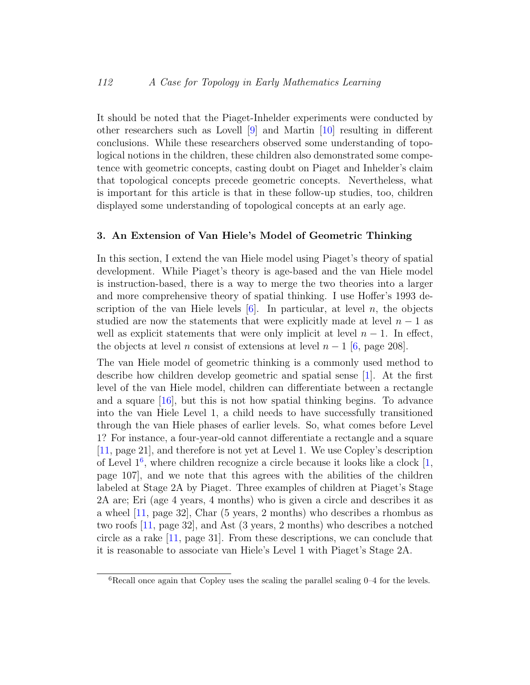It should be noted that the Piaget-Inhelder experiments were conducted by other researchers such as Lovell [\[9\]](#page-11-7) and Martin [\[10\]](#page-11-6) resulting in different conclusions. While these researchers observed some understanding of topological notions in the children, these children also demonstrated some competence with geometric concepts, casting doubt on Piaget and Inhelder's claim that topological concepts precede geometric concepts. Nevertheless, what is important for this article is that in these follow-up studies, too, children displayed some understanding of topological concepts at an early age.

#### 3. An Extension of Van Hiele's Model of Geometric Thinking

In this section, I extend the van Hiele model using Piaget's theory of spatial development. While Piaget's theory is age-based and the van Hiele model is instruction-based, there is a way to merge the two theories into a larger and more comprehensive theory of spatial thinking. I use Hoffer's 1993 description of the van Hiele levels  $[6]$ . In particular, at level n, the objects studied are now the statements that were explicitly made at level  $n-1$  as well as explicit statements that were only implicit at level  $n-1$ . In effect, the objects at level n consist of extensions at level  $n-1$  [\[6,](#page-11-5) page 208].

The van Hiele model of geometric thinking is a commonly used method to describe how children develop geometric and spatial sense [\[1\]](#page-10-1). At the first level of the van Hiele model, children can differentiate between a rectangle and a square [\[16\]](#page-12-3), but this is not how spatial thinking begins. To advance into the van Hiele Level 1, a child needs to have successfully transitioned through the van Hiele phases of earlier levels. So, what comes before Level 1? For instance, a four-year-old cannot differentiate a rectangle and a square [\[11,](#page-11-3) page 21], and therefore is not yet at Level 1. We use Copley's description of Level  $1<sup>6</sup>$  $1<sup>6</sup>$  $1<sup>6</sup>$ , where children recognize a circle because it looks like a clock  $[1,$ page 107], and we note that this agrees with the abilities of the children labeled at Stage 2A by Piaget. Three examples of children at Piaget's Stage 2A are; Eri (age 4 years, 4 months) who is given a circle and describes it as a wheel [\[11,](#page-11-3) page 32], Char (5 years, 2 months) who describes a rhombus as two roofs [\[11,](#page-11-3) page 32], and Ast (3 years, 2 months) who describes a notched circle as a rake [\[11,](#page-11-3) page 31]. From these descriptions, we can conclude that it is reasonable to associate van Hiele's Level 1 with Piaget's Stage 2A.

<span id="page-8-0"></span> ${}^{6}$ Recall once again that Copley uses the scaling the parallel scaling 0–4 for the levels.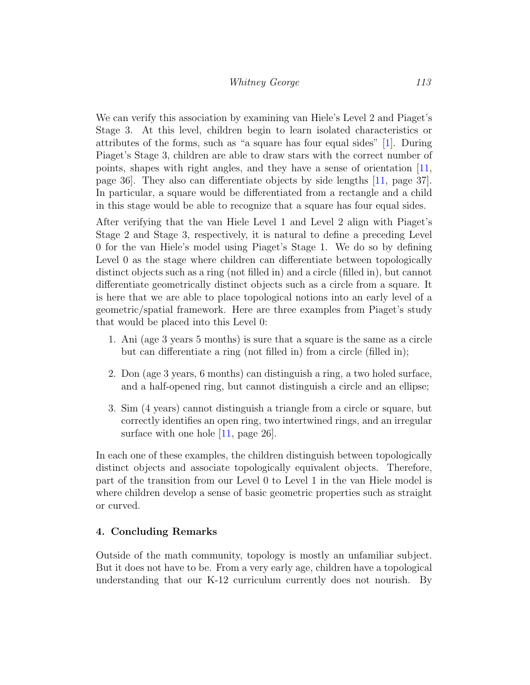We can verify this association by examining van Hiele's Level 2 and Piaget's Stage 3. At this level, children begin to learn isolated characteristics or attributes of the forms, such as "a square has four equal sides" [\[1\]](#page-10-1). During Piaget's Stage 3, children are able to draw stars with the correct number of points, shapes with right angles, and they have a sense of orientation [\[11,](#page-11-3) page 36]. They also can differentiate objects by side lengths [\[11,](#page-11-3) page 37]. In particular, a square would be differentiated from a rectangle and a child in this stage would be able to recognize that a square has four equal sides.

After verifying that the van Hiele Level 1 and Level 2 align with Piaget's Stage 2 and Stage 3, respectively, it is natural to define a preceding Level 0 for the van Hiele's model using Piaget's Stage 1. We do so by defining Level 0 as the stage where children can differentiate between topologically distinct objects such as a ring (not filled in) and a circle (filled in), but cannot differentiate geometrically distinct objects such as a circle from a square. It is here that we are able to place topological notions into an early level of a geometric/spatial framework. Here are three examples from Piaget's study that would be placed into this Level 0:

- 1. Ani (age 3 years 5 months) is sure that a square is the same as a circle but can differentiate a ring (not filled in) from a circle (filled in);
- 2. Don (age 3 years, 6 months) can distinguish a ring, a two holed surface, and a half-opened ring, but cannot distinguish a circle and an ellipse;
- 3. Sim (4 years) cannot distinguish a triangle from a circle or square, but correctly identifies an open ring, two intertwined rings, and an irregular surface with one hole [\[11,](#page-11-3) page 26].

In each one of these examples, the children distinguish between topologically distinct objects and associate topologically equivalent objects. Therefore, part of the transition from our Level 0 to Level 1 in the van Hiele model is where children develop a sense of basic geometric properties such as straight or curved.

#### 4. Concluding Remarks

Outside of the math community, topology is mostly an unfamiliar subject. But it does not have to be. From a very early age, children have a topological understanding that our K-12 curriculum currently does not nourish. By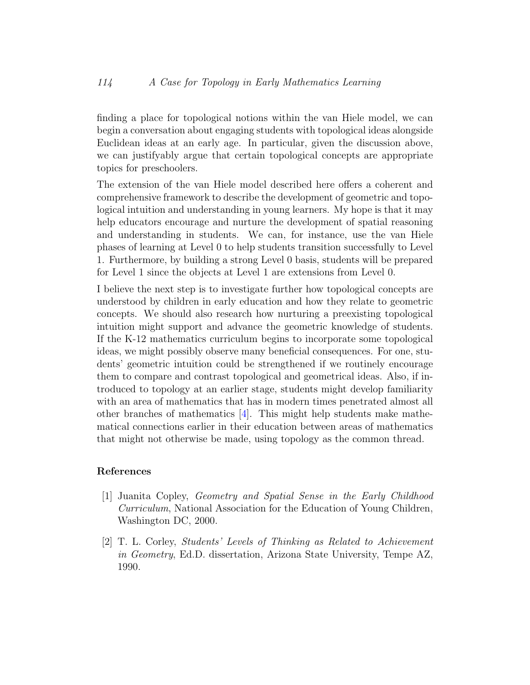finding a place for topological notions within the van Hiele model, we can begin a conversation about engaging students with topological ideas alongside Euclidean ideas at an early age. In particular, given the discussion above, we can justifyably argue that certain topological concepts are appropriate topics for preschoolers.

The extension of the van Hiele model described here offers a coherent and comprehensive framework to describe the development of geometric and topological intuition and understanding in young learners. My hope is that it may help educators encourage and nurture the development of spatial reasoning and understanding in students. We can, for instance, use the van Hiele phases of learning at Level 0 to help students transition successfully to Level 1. Furthermore, by building a strong Level 0 basis, students will be prepared for Level 1 since the objects at Level 1 are extensions from Level 0.

I believe the next step is to investigate further how topological concepts are understood by children in early education and how they relate to geometric concepts. We should also research how nurturing a preexisting topological intuition might support and advance the geometric knowledge of students. If the K-12 mathematics curriculum begins to incorporate some topological ideas, we might possibly observe many beneficial consequences. For one, students' geometric intuition could be strengthened if we routinely encourage them to compare and contrast topological and geometrical ideas. Also, if introduced to topology at an earlier stage, students might develop familiarity with an area of mathematics that has in modern times penetrated almost all other branches of mathematics [\[4\]](#page-11-1). This might help students make mathematical connections earlier in their education between areas of mathematics that might not otherwise be made, using topology as the common thread.

#### References

- <span id="page-10-1"></span>[1] Juanita Copley, Geometry and Spatial Sense in the Early Childhood Curriculum, National Association for the Education of Young Children, Washington DC, 2000.
- <span id="page-10-0"></span>[2] T. L. Corley, Students' Levels of Thinking as Related to Achievement in Geometry, Ed.D. dissertation, Arizona State University, Tempe AZ, 1990.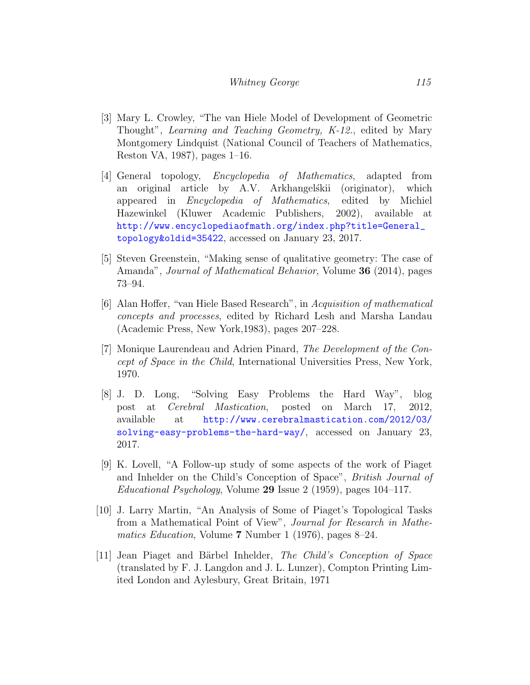#### Whitney George 115

- [3] Mary L. Crowley, "The van Hiele Model of Development of Geometric Thought", Learning and Teaching Geometry, K-12., edited by Mary Montgomery Lindquist (National Council of Teachers of Mathematics, Reston VA, 1987), pages 1–16.
- <span id="page-11-1"></span>[4] General topology, Encyclopedia of Mathematics, adapted from an original article by A.V. Arkhangelskii (originator), which appeared in Encyclopedia of Mathematics, edited by Michiel Hazewinkel (Kluwer Academic Publishers, 2002), available at [http://www.encyclopediaofmath.org/index.php?title=General\\_](http://www.encyclopediaofmath.org/index.php?title=General_topology&oldid=35422) [topology&oldid=35422](http://www.encyclopediaofmath.org/index.php?title=General_topology&oldid=35422), accessed on January 23, 2017.
- <span id="page-11-4"></span>[5] Steven Greenstein, "Making sense of qualitative geometry: The case of Amanda", Journal of Mathematical Behavior, Volume 36 (2014), pages 73–94.
- <span id="page-11-5"></span>[6] Alan Hoffer, "van Hiele Based Research", in Acquisition of mathematical concepts and processes, edited by Richard Lesh and Marsha Landau (Academic Press, New York,1983), pages 207–228.
- <span id="page-11-2"></span>[7] Monique Laurendeau and Adrien Pinard, The Development of the Concept of Space in the Child, International Universities Press, New York, 1970.
- <span id="page-11-0"></span>[8] J. D. Long, "Solving Easy Problems the Hard Way", blog post at Cerebral Mastication, posted on March 17, 2012, available at [http://www.cerebralmastication.com/2012/03/](http://www.cerebralmastication.com/2012/03/solving-easy-problems-the-hard-way/) [solving-easy-problems-the-hard-way/](http://www.cerebralmastication.com/2012/03/solving-easy-problems-the-hard-way/), accessed on January 23, 2017.
- <span id="page-11-7"></span>[9] K. Lovell, "A Follow-up study of some aspects of the work of Piaget and Inhelder on the Child's Conception of Space", British Journal of Educational Psychology, Volume 29 Issue 2 (1959), pages 104–117.
- <span id="page-11-6"></span>[10] J. Larry Martin, "An Analysis of Some of Piaget's Topological Tasks from a Mathematical Point of View", Journal for Research in Mathematics Education, Volume 7 Number 1 (1976), pages 8–24.
- <span id="page-11-3"></span>[11] Jean Piaget and Bärbel Inhelder, The Child's Conception of Space (translated by F. J. Langdon and J. L. Lunzer), Compton Printing Limited London and Aylesbury, Great Britain, 1971